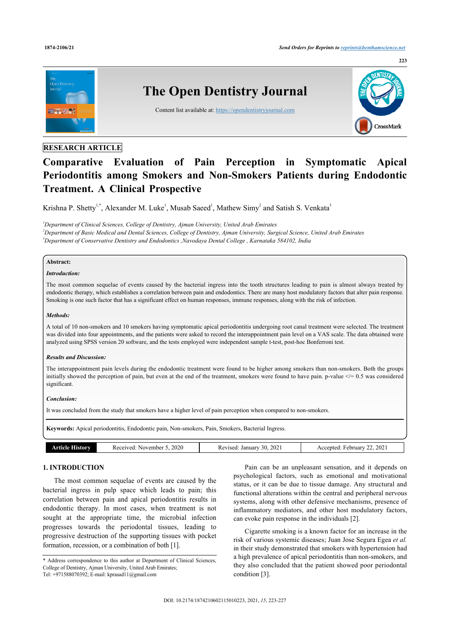

# **RESEARCH ARTICLE**

# **Comparative Evaluation of Pain Perception in Symptomatic Apical Periodontitis among Smokers and Non-Smokers Patients during Endodontic Treatment. A Clinical Prospective**

Krishna P. Shetty<sup>1,\*</sup>, Alexander M. Luke<sup>1</sup>, Musab Saeed<sup>1</sup>, Mathew Simy<sup>2</sup> and Satish S. Venkata<sup>3</sup>

*<sup>1</sup>Department of Clinical Sciences, College of Dentistry, Ajman University, United Arab Emirates <sup>2</sup>Department of Basic Medical and Dental Sciences, College of Dentistry, Ajman University, Surgical Science, United Arab Emirates <sup>3</sup>Department of Conservative Dentistry and Endodontics ,Navodaya Dental College , Karnataka 584102, India*

## **Abstract:**

#### *Introduction:*

The most common sequelae of events caused by the bacterial ingress into the tooth structures leading to pain is almost always treated by endodontic therapy, which establishes a correlation between pain and endodontics. There are many host modulatory factors that alter pain response. Smoking is one such factor that has a significant effect on human responses, immune responses, along with the risk of infection.

### *Methods:*

A total of 10 non-smokers and 10 smokers having symptomatic apical periodontitis undergoing root canal treatment were selected. The treatment was divided into four appointments, and the patients were asked to record the interappointment pain level on a VAS scale. The data obtained were analyzed using SPSS version 20 software, and the tests employed were independent sample t-test, post-hoc Bonferroni test.

#### *Results and Discussion:*

The interappointment pain levels during the endodontic treatment were found to be higher among smokers than non-smokers. Both the groups initially showed the perception of pain, but even at the end of the treatment, smokers were found to have pain. p-value  $\leq$  = 0.5 was considered significant.

#### *Conclusion:*

It was concluded from the study that smokers have a higher level of pain perception when compared to non-smokers.

**Keywords:** Apical periodontitis, Endodontic pain, Non-smokers, Pain, Smokers, Bacterial Ingress.

| Article History | 2020<br>Received:<br>November. | 202<br>Revised:<br>January<br>30. | .202<br>Accepted:<br>February. |
|-----------------|--------------------------------|-----------------------------------|--------------------------------|

# **1. INTRODUCTION**

The most common sequelae of events are caused by the bacterial ingress in pulp space which leads to pain; this correlation between pain and apical periodontitis results in endodontic therapy. In most cases, when treatment is not sought at the appropriate time, the microbial infection progresses towards the periodontal tissues, leading to progressive destruction of the supporting tissues with pocket formation, recession, or a combination of both [1].

Pain can be an unpleasant sensation, and it depends on psychological factors, such as emotional and motivational status, or it can be due to tissue damage. Any structural and functional alterations within the central and peripheral nervous systems, along with other defensive mechanisms, presence of inflammatory mediators, and other host modulatory factors, can evoke pain response in the individuals [2].

Cigarette smoking is a known factor for an increase in the risk of various systemic diseases; Juan Jose Segura Egea *et al.* in their study demonstrated that smokers with hypertension had a high prevalence of apical periodontitis than non-smokers, and they also concluded that the patient showed poor periodontal condition [3].

<sup>\*</sup> Address correspondence to this author at Department of Clinical Sciences, College of Dentistry, Ajman University, United Arab Emirates; Tel: +971588070392; E-mail: kprasad11@gmail.com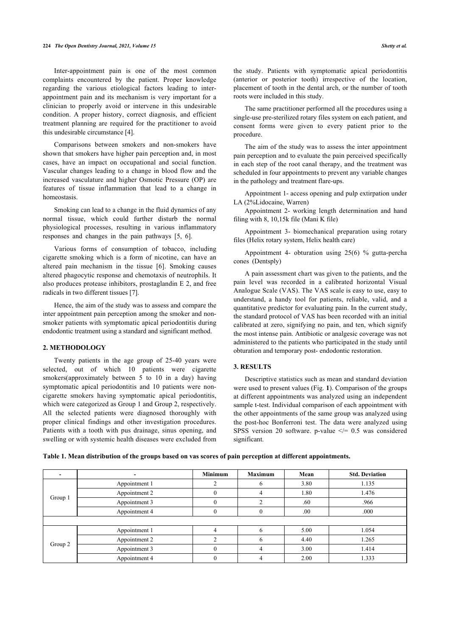Inter-appointment pain is one of the most common complaints encountered by the patient. Proper knowledge regarding the various etiological factors leading to interappointment pain and its mechanism is very important for a clinician to properly avoid or intervene in this undesirable condition. A proper history, correct diagnosis, and efficient treatment planning are required for the practitioner to avoid this undesirable circumstance [4].

Comparisons between smokers and non-smokers have shown that smokers have higher pain perception and, in most cases, have an impact on occupational and social function. Vascular changes leading to a change in blood flow and the increased vasculature and higher Osmotic Pressure (OP) are features of tissue inflammation that lead to a change in homeostasis.

Smoking can lead to a change in the fluid dynamics of any normal tissue, which could further disturb the normal physiological processes, resulting in various inflammatory responses and changes in the pain pathways [5, 6].

Various forms of consumption of tobacco, including cigarette smoking which is a form of nicotine, can have an altered pain mechanism in the tissue [6]. Smoking causes altered phagocytic response and chemotaxis of neutrophils. It also produces protease inhibitors, prostaglandin E 2, and free radicals in two different tissues [7].

Hence, the aim of the study was to assess and compare the inter appointment pain perception among the smoker and nonsmoker patients with symptomatic apical periodontitis during endodontic treatment using a standard and significant method.

### **2. METHODOLOGY**

Twenty patients in the age group of 25-40 years were selected, out of which 10 patients were cigarette smokers(approximately between 5 to 10 in a day) having symptomatic apical periodontitis and 10 patients were noncigarette smokers having symptomatic apical periodontitis, which were categorized as Group 1 and Group 2, respectively. All the selected patients were diagnosed thoroughly with proper clinical findings and other investigation procedures. Patients with a tooth with pus drainage, sinus opening, and swelling or with systemic health diseases were excluded from

the study. Patients with symptomatic apical periodontitis (anterior or posterior tooth) irrespective of the location, placement of tooth in the dental arch, or the number of tooth roots were included in this study.

The same practitioner performed all the procedures using a single-use pre-sterilized rotary files system on each patient, and consent forms were given to every patient prior to the procedure.

The aim of the study was to assess the inter appointment pain perception and to evaluate the pain perceived specifically in each step of the root canal therapy, and the treatment was scheduled in four appointments to prevent any variable changes in the pathology and treatment flare-ups.

Appointment 1- access opening and pulp extirpation under LA (2%Lidocaine, Warren)

Appointment 2- working length determination and hand filing with 8, 10,15k file (Mani K file)

Appointment 3- biomechanical preparation using rotary files (Helix rotary system, Helix health care)

Appointment 4- obturation using 25(6) % gutta-percha cones (Dentsply)

A pain assessment chart was given to the patients, and the pain level was recorded in a calibrated horizontal Visual Analogue Scale (VAS). The VAS scale is easy to use, easy to understand, a handy tool for patients, reliable, valid, and a quantitative predictor for evaluating pain. In the current study, the standard protocol of VAS has been recorded with an initial calibrated at zero, signifying no pain, and ten, which signify the most intense pain. Antibiotic or analgesic coverage was not administered to the patients who participated in the study until obturation and temporary post- endodontic restoration.

### **3. RESULTS**

Descriptive statistics such as mean and standard deviation were used to present values (Fig. **1**). Comparison of the groups at different appointments was analyzed using an independent sample t-test. Individual comparison of each appointment with the other appointments of the same group was analyzed using the post-hoc Bonferroni test. The data were analyzed using SPSS version 20 software. p-value  $\le$  = 0.5 was considered significant.

**Table 1. Mean distribution of the groups based on vas scores of pain perception at different appointments.**

|         |               | <b>Minimum</b> | <b>Maximum</b> | Mean | <b>Std. Deviation</b> |
|---------|---------------|----------------|----------------|------|-----------------------|
| Group 1 | Appointment 1 |                | h              | 3.80 | 1.135                 |
|         | Appointment 2 |                |                | 1.80 | 1.476                 |
|         | Appointment 3 |                |                | .60  | .966                  |
|         | Appointment 4 | $\Omega$       |                | .00. | .000                  |
|         |               |                |                |      |                       |
| Group 2 | Appointment 1 |                | h              | 5.00 | 1.054                 |
|         | Appointment 2 |                | h              | 4.40 | 1.265                 |
|         | Appointment 3 |                | 4              | 3.00 | 1.414                 |
|         | Appointment 4 |                |                | 2.00 | 1.333                 |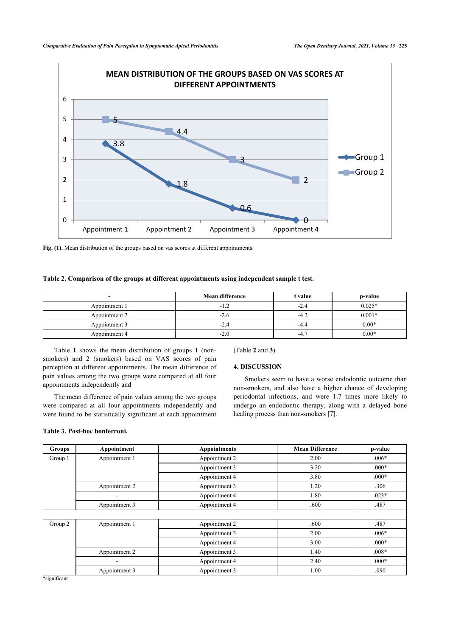

Fig. (1). Mean distribution of the groups based on vas scores at different appointments.

### **Table 2. Comparison of the groups at different appointments using independent sample t test.**

|               | <b>Mean difference</b> | t value | p-value  |
|---------------|------------------------|---------|----------|
| Appointment 1 |                        | -4.     | $0.025*$ |
| Appointment 2 | -2.6                   | -4      | $0.001*$ |
| Appointment 3 | -2.4                   | $-4.5$  | $0.00*$  |
| Appointment 4 | $-2.0$                 | $-4.$   | $0.00*$  |

Table **1** shows the mean distribution of groups 1 (nonsmokers) and 2 (smokers) based on VAS scores of pain perception at different appointments. The mean difference of pain values among the two groups were compared at all four appointments independently and

The mean difference of pain values among the two groups were compared at all four appointments independently and were found to be statistically significant at each appointment

### **Table 3. Post-hoc bonferroni.**

(Table **2** and **3**).

### **4. DISCUSSION**

Smokers seem to have a worse endodontic outcome than non-smokers, and also have a higher chance of developing periodontal infections, and were 1.7 times more likely to undergo an endodontic therapy, along with a delayed bone healing process than non-smokers [7].

| <b>Groups</b> | Appointment   | <b>Appointments</b> | <b>Mean Difference</b> | p-value |
|---------------|---------------|---------------------|------------------------|---------|
| Group 1       | Appointment 1 | Appointment 2       | 2.00                   | $.006*$ |
|               |               | Appointment 3       | 3.20                   | $.000*$ |
|               |               | Appointment 4       | 3.80                   | $.000*$ |
|               | Appointment 2 | Appointment 3       | 1.20                   | .306    |
|               |               | Appointment 4       | 1.80                   | $.023*$ |
|               | Appointment 3 | Appointment 4       | .600                   | .487    |
|               |               |                     |                        |         |
| Group 2       | Appointment 1 | Appointment 2       | .600                   | .487    |
|               |               | Appointment 3       | 2.00                   | $.006*$ |
|               |               | Appointment 4       | 3.00                   | $.000*$ |
|               | Appointment 2 | Appointment 3       | 1.40                   | $.008*$ |
|               |               | Appointment 4       | 2.40                   | $.000*$ |
|               | Appointment 3 | Appointment 3       | 1.00                   | .090    |

\*significant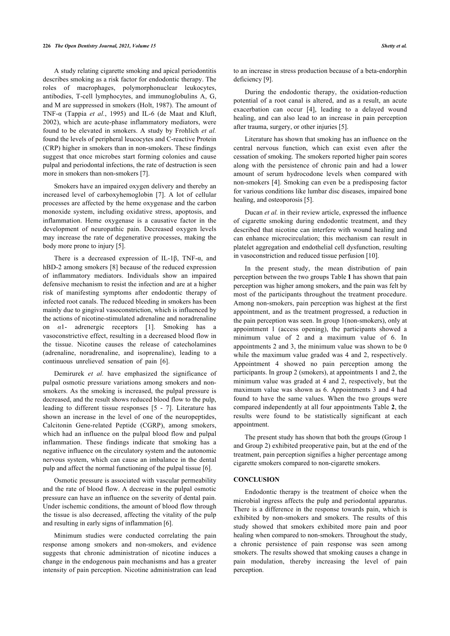#### **226** *The Open Dentistry Journal, 2021, Volume 15 Shetty et al.*

A study relating cigarette smoking and apical periodontitis describes smoking as a risk factor for endodontic therapy. The roles of macrophages, polymorphonuclear leukocytes, antibodies, T-cell lymphocytes, and immunoglobulins A, G, and M are suppressed in smokers (Holt, 1987). The amount of TNF-α (Tappia *et al.*, 1995) and IL-6 (de Maat and Kluft, 2002), which are acute-phase inflammatory mediators, were found to be elevated in smokers. A study by Frohlich *et al.* found the levels of peripheral leucocytes and C-reactive Protein (CRP) higher in smokers than in non-smokers. These findings suggest that once microbes start forming colonies and cause pulpal and periodontal infections, the rate of destruction is seen more in smokers than non-smokers [7].

Smokers have an impaired oxygen delivery and thereby an increased level of carboxyhemoglobin [7]. A lot of cellular processes are affected by the heme oxygenase and the carbon monoxide system, including oxidative stress, apoptosis, and inflammation. Heme oxygenase is a causative factor in the development of neuropathic pain. Decreased oxygen levels may increase the rate of degenerative processes, making the body more prone to injury [5].

There is a decreased expression of IL-1 $\beta$ , TNF- $\alpha$ , and hBD-2 among smokers [8] because of the reduced expression of inflammatory mediators. Individuals show an impaired defensive mechanism to resist the infection and are at a higher risk of manifesting symptoms after endodontic therapy of infected root canals. The reduced bleeding in smokers has been mainly due to gingival vasoconstriction, which is influenced by the actions of nicotine-stimulated adrenaline and noradrenaline on *α*1- adrenergic receptors [1]. Smoking has a vasoconstrictive effect, resulting in a decreased blood flow in the tissue. Nicotine causes the release of catecholamines (adrenaline, noradrenaline, and isoprenaline), leading to a continuous unrelieved sensation of pain [6].

Demirurek *et al.* have emphasized the significance of pulpal osmotic pressure variations among smokers and nonsmokers. As the smoking is increased, the pulpal pressure is decreased, and the result shows reduced blood flow to the pulp, leading to different tissue responses [5 - 7]. Literature has shown an increase in the level of one of the neuropeptides, Calcitonin Gene-related Peptide (CGRP), among smokers, which had an influence on the pulpal blood flow and pulpal inflammation. These findings indicate that smoking has a negative influence on the circulatory system and the autonomic nervous system, which can cause an imbalance in the dental pulp and affect the normal functioning of the pulpal tissue [6].

Osmotic pressure is associated with vascular permeability and the rate of blood flow. A decrease in the pulpal osmotic pressure can have an influence on the severity of dental pain. Under ischemic conditions, the amount of blood flow through the tissue is also decreased, affecting the vitality of the pulp and resulting in early signs of inflammation [6].

Minimum studies were conducted correlating the pain response among smokers and non-smokers, and evidence suggests that chronic administration of nicotine induces a change in the endogenous pain mechanisms and has a greater intensity of pain perception. Nicotine administration can lead to an increase in stress production because of a beta-endorphin deficiency [9].

During the endodontic therapy, the oxidation-reduction potential of a root canal is altered, and as a result, an acute exacerbation can occur [4], leading to a delayed wound healing, and can also lead to an increase in pain perception after trauma, surgery, or other injuries [5].

Literature has shown that smoking has an influence on the central nervous function, which can exist even after the cessation of smoking. The smokers reported higher pain scores along with the persistence of chronic pain and had a lower amount of serum hydrocodone levels when compared with non-smokers [4]. Smoking can even be a predisposing factor for various conditions like lumbar disc diseases, impaired bone healing, and osteoporosis [5].

Ducan *et al.* in their review article, expressed the influence of cigarette smoking during endodontic treatment, and they described that nicotine can interfere with wound healing and can enhance microcirculation; this mechanism can result in platelet aggregation and endothelial cell dysfunction, resulting in vasoconstriction and reduced tissue perfusion [10].

In the present study, the mean distribution of pain perception between the two groups Table **1** has shown that pain perception was higher among smokers, and the pain was felt by most of the participants throughout the treatment procedure. Among non-smokers, pain perception was highest at the first appointment, and as the treatment progressed, a reduction in the pain perception was seen. In group 1(non-smokers), only at appointment 1 (access opening), the participants showed a minimum value of 2 and a maximum value of 6. In appointments 2 and 3, the minimum value was shown to be 0 while the maximum value graded was 4 and 2, respectively. Appointment 4 showed no pain perception among the participants. In group 2 (smokers), at appointments 1 and 2, the minimum value was graded at 4 and 2, respectively, but the maximum value was shown as 6. Appointments 3 and 4 had found to have the same values. When the two groups were compared independently at all four appointments Table **2**, the results were found to be statistically significant at each appointment.

The present study has shown that both the groups (Group 1 and Group 2) exhibited preoperative pain, but at the end of the treatment, pain perception signifies a higher percentage among cigarette smokers compared to non-cigarette smokers.

#### **CONCLUSION**

Endodontic therapy is the treatment of choice when the microbial ingress affects the pulp and periodontal apparatus. There is a difference in the response towards pain, which is exhibited by non-smokers and smokers. The results of this study showed that smokers exhibited more pain and poor healing when compared to non-smokers. Throughout the study, a chronic persistence of pain response was seen among smokers. The results showed that smoking causes a change in pain modulation, thereby increasing the level of pain perception.